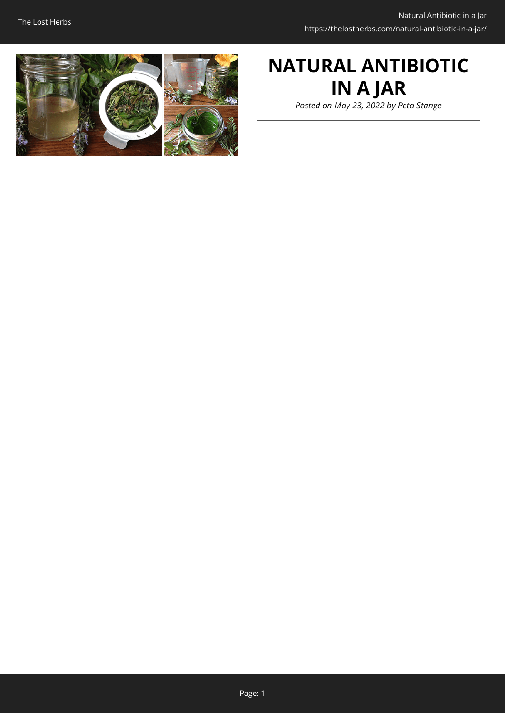

# **NATURAL ANTIBIOTIC IN A JAR**

*Posted on May 23, 2022 by Peta Stange*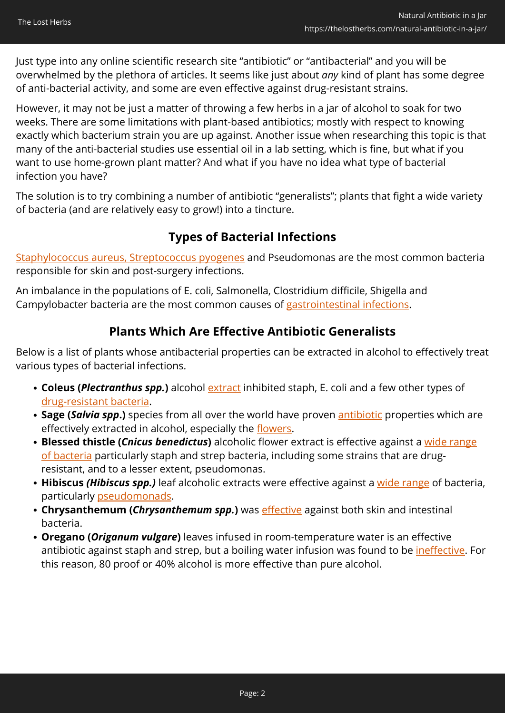Just type into any online scientific research site "antibiotic" or "antibacterial" and you will be overwhelmed by the plethora of articles. It seems like just about *any* kind of plant has some degree of anti-bacterial activity, and some are even effective against drug-resistant strains.

However, it may not be just a matter of throwing a few herbs in a jar of alcohol to soak for two weeks. There are some limitations with plant-based antibiotics; mostly with respect to knowing exactly which bacterium strain you are up against. Another issue when researching this topic is that many of the anti-bacterial studies use essential oil in a lab setting, which is fine, but what if you want to use home-grown plant matter? And what if you have no idea what type of bacterial infection you have?

The solution is to try combining a number of antibiotic "generalists"; plants that fight a wide variety of bacteria (and are relatively easy to grow!) into a tincture.

## **Types of Bacterial Infections**

[Staphylococcus aureus, Streptococcus pyogenes](https://www.verywellhealth.com/bacterial-skin-infections-1069439) and Pseudomonas are the most common bacteria responsible for skin and post-surgery infections.

An imbalance in the populations of E. coli, Salmonella, Clostridium difficile, Shigella and Campylobacter bacteria are the most common causes of [gastrointestinal infections](https://www.verywellhealth.com/bacterial-gastroenteritis-5219755).

## **Plants Which Are Effective Antibiotic Generalists**

Below is a list of plants whose antibacterial properties can be extracted in alcohol to effectively treat various types of bacterial infections.

- **Coleus (***Plectranthus spp.***)** alcohol **extract** inhibited staph, E. coli and a few other types of [drug-resistant bacteria.](https://www.mdpi.com/1420-3049/26/24/7665/htm)
- **Sage (***Salvia spp***.)** species from all over the world have proven [antibiotic](https://www.ncbi.nlm.nih.gov/pmc/articles/PMC5634728/) properties which are effectively extracted in alcohol, especially the [flowers.](https://pubmed.ncbi.nlm.nih.gov/29448760/)
- **Blessed thistle (***Cnicus benedictus***)** alcoholic flower extract is effective against a [wide range](https://www.researchgate.net/publication/26600471_The_antimicrobial_activity_of_the_Cnicus_benedictus_L_extracts) [of bacteria](https://www.researchgate.net/publication/26600471_The_antimicrobial_activity_of_the_Cnicus_benedictus_L_extracts) particularly staph and strep bacteria, including some strains that are drugresistant, and to a lesser extent, pseudomonas.
- **Hibiscus** *(Hibiscus spp.)* leaf alcoholic extracts were effective against a [wide range](https://pubmed.ncbi.nlm.nih.gov/31771271/) of bacteria, particularly [pseudomonads](https://pubmed.ncbi.nlm.nih.gov/32932699/).
- **Chrysanthemum (***Chrysanthemum spp.***)** was *[effective](https://pubmed.ncbi.nlm.nih.gov/33746281/)* against both skin and intestinal bacteria.
- **Oregano (***Origanum vulgare***)** leaves infused in room-temperature water is an effective antibiotic against staph and strep, but a boiling water infusion was found to be [ineffective](http://probotanic.com/pdf/Origano_ulje.pdf). For this reason, 80 proof or 40% alcohol is more effective than pure alcohol.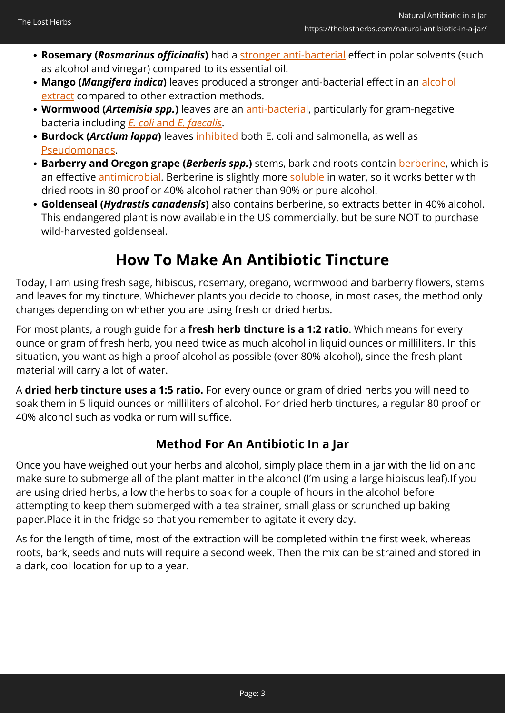- **Rosemary (***Rosmarinus officinalis***)** had a [stronger anti-bacterial](https://pubmed.ncbi.nlm.nih.gov/33248844/) effect in polar solvents (such as alcohol and vinegar) compared to its essential oil.
- Mango (*Mangifera indica*) leaves produced a stronger anti-bacterial effect in an [alcohol](https://pubmed.ncbi.nlm.nih.gov/32381828/) [extract](https://pubmed.ncbi.nlm.nih.gov/32381828/) compared to other extraction methods.
- **Wormwood (***Artemisia spp.***)** leaves are an [anti-bacterial,](https://pubmed.ncbi.nlm.nih.gov/23570523/) particularly for gram-negative bacteria including *[E. coli](https://www.frontiersin.org/articles/10.3389/fmicb.2018.02990/full)* [and](https://www.frontiersin.org/articles/10.3389/fmicb.2018.02990/full) *[E. faecalis](https://www.frontiersin.org/articles/10.3389/fmicb.2018.02990/full)*.
- **Burdock (***Arctium lappa***)** leaves [inhibited](https://meridian.allenpress.com/jfp/article/79/8/1404/173996/Antibacterial-Antibiofilm-Effect-of-Burdock) both E. coli and salmonella, as well as [Pseudomonads.](https://www.researchgate.net/publication/322368482_Antibacterial_effects_of_Arctium_lappa_and_Artemesia_absinthium_extracts_in_laboratory_conditions)
- **Barberry and Oregon grape (***Berberis spp.***)** stems, bark and roots contain **berberine**, which is an effective *antimicrobial*. Berberine is slightly more [soluble](https://www.ncbi.nlm.nih.gov/pmc/articles/PMC2974104/) in water, so it works better with dried roots in 80 proof or 40% alcohol rather than 90% or pure alcohol.
- **Goldenseal (***Hydrastis canadensis***)** also contains berberine, so extracts better in 40% alcohol. This endangered plant is now available in the US commercially, but be sure NOT to purchase wild-harvested goldenseal.

## **How To Make An Antibiotic Tincture**

Today, I am using fresh sage, hibiscus, rosemary, oregano, wormwood and barberry flowers, stems and leaves for my tincture. Whichever plants you decide to choose, in most cases, the method only changes depending on whether you are using fresh or dried herbs.

For most plants, a rough guide for a **fresh herb tincture is a 1:2 ratio**. Which means for every ounce or gram of fresh herb, you need twice as much alcohol in liquid ounces or milliliters. In this situation, you want as high a proof alcohol as possible (over 80% alcohol), since the fresh plant material will carry a lot of water.

A **dried herb tincture uses a 1:5 ratio.** For every ounce or gram of dried herbs you will need to soak them in 5 liquid ounces or milliliters of alcohol. For dried herb tinctures, a regular 80 proof or 40% alcohol such as vodka or rum will suffice.

## **Method For An Antibiotic In a Jar**

Once you have weighed out your herbs and alcohol, simply place them in a jar with the lid on and make sure to submerge all of the plant matter in the alcohol (I'm using a large hibiscus leaf).If you are using dried herbs, allow the herbs to soak for a couple of hours in the alcohol before attempting to keep them submerged with a tea strainer, small glass or scrunched up baking paper.Place it in the fridge so that you remember to agitate it every day.

As for the length of time, most of the extraction will be completed within the first week, whereas roots, bark, seeds and nuts will require a second week. Then the mix can be strained and stored in a dark, cool location for up to a year.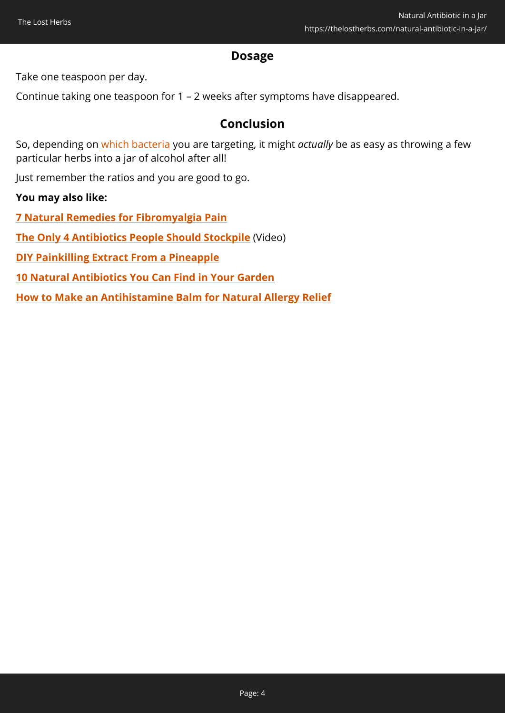#### **Dosage**

Take one teaspoon per day.

Continue taking one teaspoon for 1 – 2 weeks after symptoms have disappeared.

#### **Conclusion**

So, depending on [which bacteria](https://www.frontiersin.org/files/Articles/399717/fmicb-09-02990-HTML/image_m/fmicb-09-02990-t003.jpg) you are targeting, it might *actually* be as easy as throwing a few particular herbs into a jar of alcohol after all!

Just remember the ratios and you are good to go.

#### **You may also like:**

**[7 Natural Remedies for Fibromyalgia Pain](https://thelostherbs.com/7-natural-remedies-for-fibromyalgia-pain/)**

**[The Only 4 Antibiotics People Should Stockpile](https://hop.clickbank.net/?affiliate=easycellar&vendor=homedoc&tid=C02NaturalAntibioticJarHMD)** (Video)

**[DIY Painkilling Extract From a Pineapple](https://thelostherbs.com/diy-painkilling-extract-from-a-pineapple/)**

**[10 Natural Antibiotics You Can Find in Your Garden](https://thelostherbs.com/10-natural-antibiotics-you-can-find-in-your-garden/)**

**[How to Make an Antihistamine Balm for Natural Allergy Relief](https://thelostherbs.com/how-to-make-an-antihistamine-balm-for-natural-allergy-relief/)**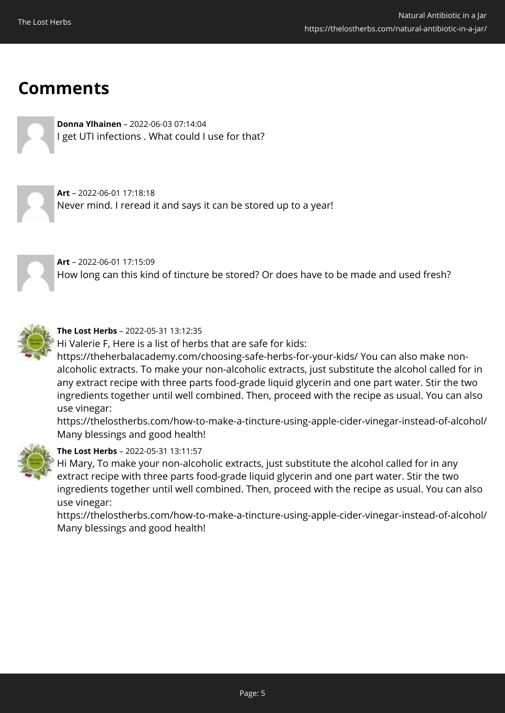## **Comments**



**Donna Ylhainen** – 2022-06-03 07:14:04 I get UTI infections . What could I use for that?

**Art** – 2022-06-01 17:18:18 Never mind. I reread it and says it can be stored up to a year!





#### **The Lost Herbs** – 2022-05-31 13:12:35

Hi Valerie F, Here is a list of herbs that are safe for kids:

https://theherbalacademy.com/choosing-safe-herbs-for-your-kids/ You can also make nonalcoholic extracts. To make your non-alcoholic extracts, just substitute the alcohol called for in any extract recipe with three parts food-grade liquid glycerin and one part water. Stir the two ingredients together until well combined. Then, proceed with the recipe as usual. You can also use vinegar:

https://thelostherbs.com/how-to-make-a-tincture-using-apple-cider-vinegar-instead-of-alcohol/ Many blessings and good health!



#### **The Lost Herbs** – 2022-05-31 13:11:57

Hi Mary, To make your non-alcoholic extracts, just substitute the alcohol called for in any extract recipe with three parts food-grade liquid glycerin and one part water. Stir the two ingredients together until well combined. Then, proceed with the recipe as usual. You can also use vinegar:

https://thelostherbs.com/how-to-make-a-tincture-using-apple-cider-vinegar-instead-of-alcohol/ Many blessings and good health!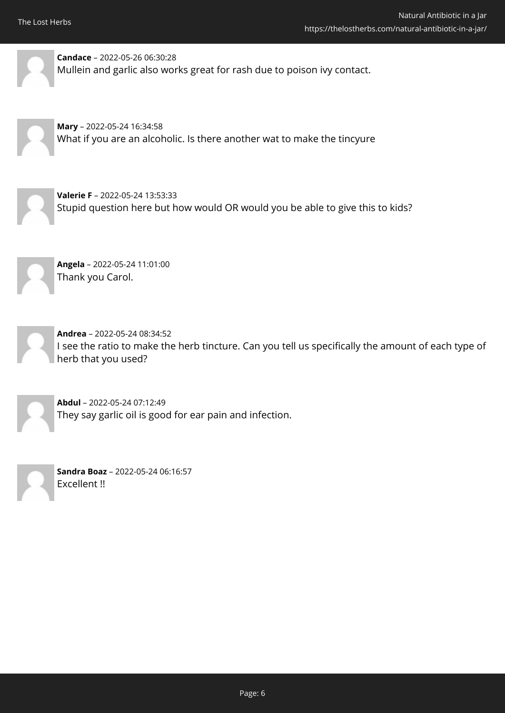

**Candace** – 2022-05-26 06:30:28 Mullein and garlic also works great for rash due to poison ivy contact.

**Mary** – 2022-05-24 16:34:58 What if you are an alcoholic. Is there another wat to make the tincyure

**Valerie F** – 2022-05-24 13:53:33 Stupid question here but how would OR would you be able to give this to kids?



**Angela** – 2022-05-24 11:01:00 Thank you Carol.



**Andrea** – 2022-05-24 08:34:52 I see the ratio to make the herb tincture. Can you tell us specifically the amount of each type of herb that you used?



**Abdul** – 2022-05-24 07:12:49 They say garlic oil is good for ear pain and infection.



**Sandra Boaz** – 2022-05-24 06:16:57 Excellent !!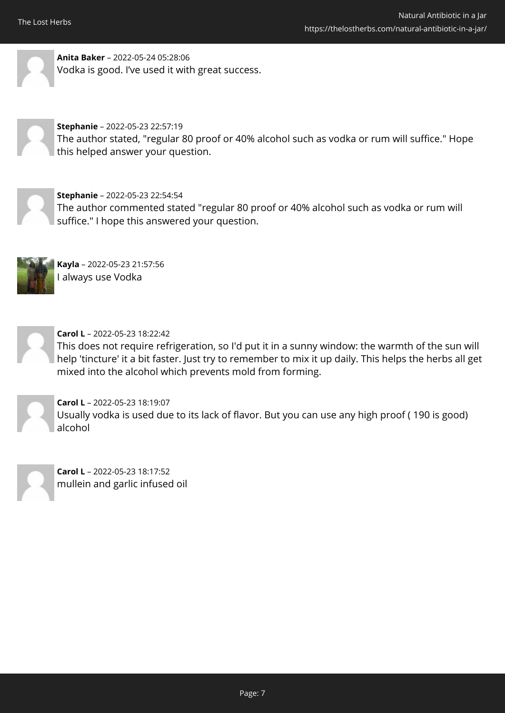

**Anita Baker** – 2022-05-24 05:28:06 Vodka is good. I've used it with great success.



#### **Stephanie** – 2022-05-23 22:57:19

The author stated, "regular 80 proof or 40% alcohol such as vodka or rum will suffice." Hope this helped answer your question.



#### **Stephanie** – 2022-05-23 22:54:54

The author commented stated "regular 80 proof or 40% alcohol such as vodka or rum will suffice." I hope this answered your question.



**Kayla** – 2022-05-23 21:57:56 I always use Vodka



**Carol L** – 2022-05-23 18:22:42

This does not require refrigeration, so I'd put it in a sunny window: the warmth of the sun will help 'tincture' it a bit faster. Just try to remember to mix it up daily. This helps the herbs all get mixed into the alcohol which prevents mold from forming.



**Carol L** – 2022-05-23 18:19:07 Usually vodka is used due to its lack of flavor. But you can use any high proof ( 190 is good) alcohol